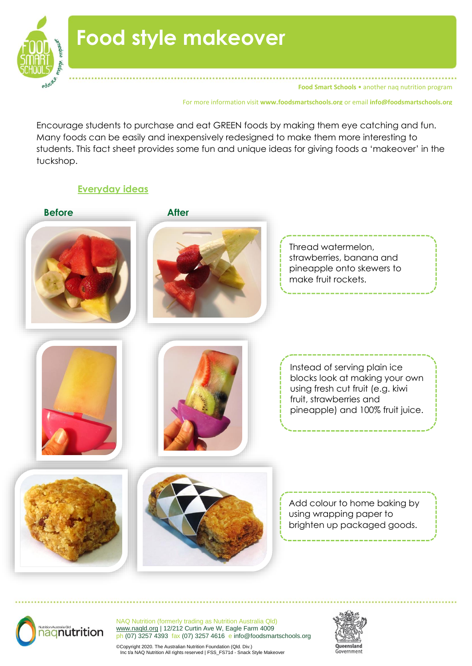

**Food Smart Schools** • another nag nutrition program

For more information visit **www.foodsmartschools.org** or email **info@foodsmartschools.org**

Encourage students to purchase and eat GREEN foods by making them eye catching and fun. Many foods can be easily and inexpensively redesigned to make them more interesting to students. This fact sheet provides some fun and unique ideas for giving foods a 'makeover' in the tuckshop.

### **Everyday ideas**





NAQ Nutrition (formerly trading as Nutrition Australia Qld) [www.naqld.org](http://www.naqld.org/) | 12/212 Curtin Ave W, Eagle Farm 4009 ph (07) 3257 4393 fax (07) 3257 4616 e info@foodsmartschools.org

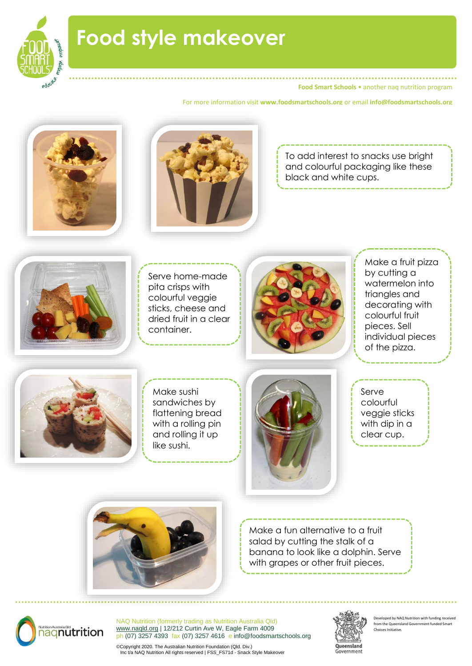

**Food Smart Schools • another nag nutrition program** 

For more information visit **www.foodsmartschools.org** or email **info@foodsmartschools.org**





To add interest to snacks use bright and colourful packaging like these black and white cups.



Serve home-made pita crisps with colourful veggie sticks, cheese and dried fruit in a clear container.



Make a fruit pizza by cutting a watermelon into triangles and decorating with colourful fruit pieces. Sell individual pieces of the pizza.



Make sushi sandwiches by flattening bread with a rolling pin and rolling it up like sushi.



Serve colourful veggie sticks with dip in a clear cup.



Make a fun alternative to a fruit salad by cutting the stalk of a banana to look like a dolphin. Serve with grapes or other fruit pieces.



NAQ Nutrition (formerly trading as Nutrition Australia Qld) [www.naqld.org](http://www.naqld.org/) | 12/212 Curtin Ave W, Eagle Farm 4009 ph (07) 3257 4393 fax (07) 3257 4616 e info@foodsmartschools.org



veloped by NAQ Nutrition with funding received from the Queensland Government funded Smart Choices Initiative.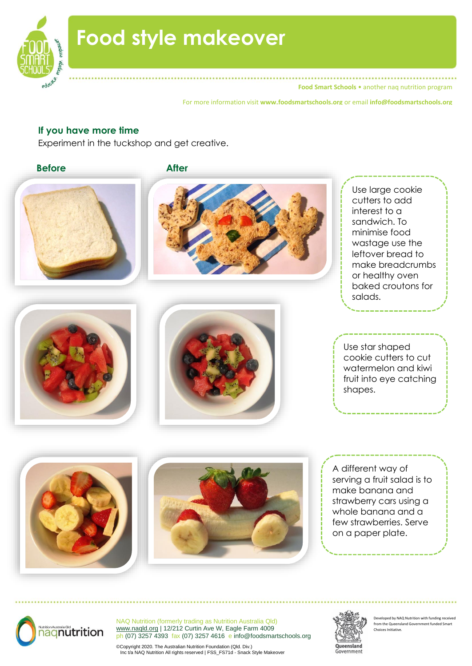

**Food Smart Schools** • another naq nutrition program

For more information visit **www.foodsmartschools.org** or email **info@foodsmartschools.org**

### **If you have more time**

Experiment in the tuckshop and get creative.

**Before After** Use large cookie cutters to add interest to a sandwich. To minimise food wastage use the leftover bread to make breadcrumbs or healthy oven baked croutons for salads. l, A different way of serving a fruit salad is to make banana and strawberry cars using a whole banana and a few strawberries. Serve on a paper plate. Use star shaped cookie cutters to cut watermelon and kiwi fruit into eye catching shapes.



NAQ Nutrition (formerly trading as Nutrition Australia Qld) [www.naqld.org](http://www.naqld.org/) | 12/212 Curtin Ave W, Eagle Farm 4009 ph (07) 3257 4393 fax (07) 3257 4616 e info@foodsmartschools.org

Queensland Government

Developed by NAQ Nutrition with funding receiv from the Queensland Government funded Smart Choices Initiative.